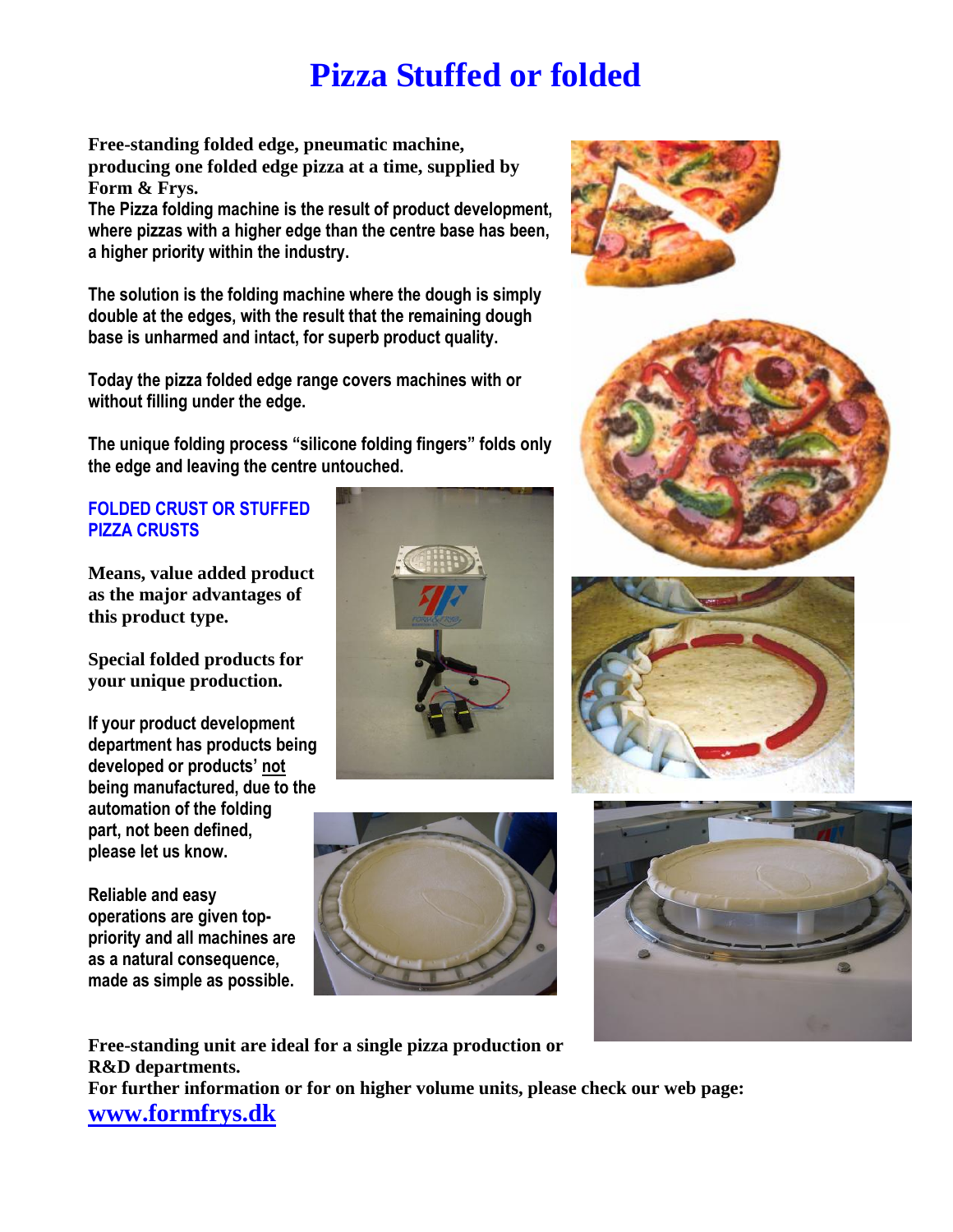## **Pizza Stuffed or folded**

**Free-standing folded edge, pneumatic machine, producing one folded edge pizza at a time, supplied by Form & Frys.** 

**The Pizza folding machine is the result of product development, where pizzas with a higher edge than the centre base has been, a higher priority within the industry.** 

**The solution is the folding machine where the dough is simply double at the edges, with the result that the remaining dough base is unharmed and intact, for superb product quality.**

**Today the pizza folded edge range covers machines with or without filling under the edge.**

**The unique folding process "silicone folding fingers" folds only the edge and leaving the centre untouched.**

## **FOLDED CRUST OR STUFFED PIZZA CRUSTS**

**Means, value added product as the major advantages of this product type.** 

**Special folded products for your unique production.**

**If your product development department has products being developed or products' not being manufactured, due to the automation of the folding part, not been defined, please let us know.** 

**Reliable and easy operations are given toppriority and all machines are as a natural consequence, made as simple as possible.**











**Free-standing unit are ideal for a single pizza production or R&D departments. For further information or for on higher volume units, please check our web page: www.formfrys.dk**